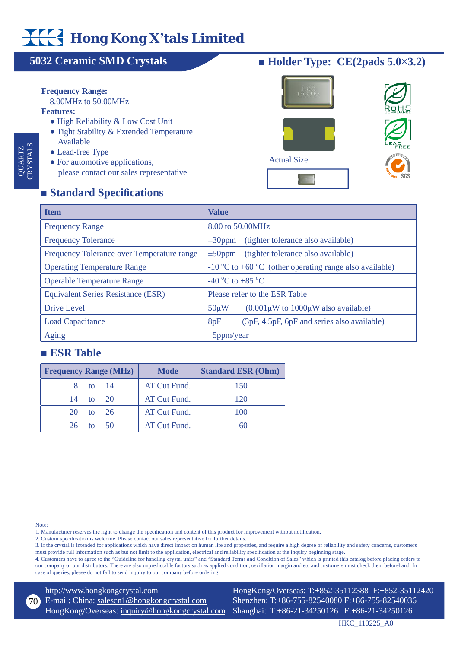# **Hong Kong X'tals Limited**

# **5032 Ceramic SMD Crystals**

#### **Frequency Range:**

8.00MHz to 50.00MHz

#### **Features:**

QUA<br>Initio RTZ CRYSTALS

- High Reliability & Low Cost Unit
- Tight Stability & Extended Temperature Available
- Lead-free Type
- For automotive applications, please contact our sales representative

## **■ Holder Type: CE(2pads 5.0×3.2)**



# **■ Standard Specications**

| <b>Item</b>                                | <b>Value</b>                                                                              |  |
|--------------------------------------------|-------------------------------------------------------------------------------------------|--|
| <b>Frequency Range</b>                     | 8.00 to 50.00MHz                                                                          |  |
| <b>Frequency Tolerance</b>                 | (tighter tolerance also available)<br>$\pm 30$ ppm                                        |  |
| Frequency Tolerance over Temperature range | (tighter tolerance also available)<br>$\pm 50$ ppm                                        |  |
| <b>Operating Temperature Range</b>         | $-10\,^{\circ}\text{C}$ to $+60\,^{\circ}\text{C}$ (other operating range also available) |  |
| <b>Operable Temperature Range</b>          | -40 °C to +85 °C                                                                          |  |
| <b>Equivalent Series Resistance (ESR)</b>  | Please refer to the ESR Table                                                             |  |
| Drive Level                                | $(0.001\,\mu W)$ to $1000\,\mu W$ also available)<br>$50 \mu W$                           |  |
| <b>Load Capacitance</b>                    | (3pF, 4.5pF, 6pF and series also available)<br>8pF                                        |  |
| <b>Aging</b>                               | $\pm 5$ ppm/year                                                                          |  |

### **■ ESR Table**

| <b>Frequency Range (MHz)</b> | <b>Mode</b>  | <b>Standard ESR (Ohm)</b> |
|------------------------------|--------------|---------------------------|
| 8 to 14                      | AT Cut Fund. | 150                       |
| 14 to 20                     | AT Cut Fund. | 120                       |
| 20 to 26                     | AT Cut Fund. | 100                       |
| 26<br>to $50$                | AT Cut Fund. | 60                        |

Note:

1. Manufacturer reserves the right to change the specification and content of this product for improvement without notification.

2. Custom specification is welcome. Please contact our sales representative for further details.

3. If the crystal is intended for applications which have direct impact on human life and properties, and require a high degree of reliability and safety concerns, customers must provide full information such as but not limit to the application, electrical and reliability specification at the inquiry beginning stage.

4. Customers have to agree to the "Guideline for handling crystal units" and "Standard Terms and Condition of Sales" which is printed this catalog before placing orders to our company or our distributors. There are also unpredictable factors such as applied condition, oscillation margin and etc and customers must check them beforehand. In case of queries, please do not fail to send inquiry to our company before ordering.

<http://www.hongkongcrystal.com>

E-mail: China: [salescn1@hongkongcrystal.com](mailto:salescn1@hongkongcrystal.com) HongKong/Overseas: [inquiry@hongkongcrystal.com](mailto:inquiry@hongkongcrystal.com) 70

HongKong/Overseas: T:+852-35112388 F:+852-35112420 Shenzhen: T:+86-755-82540080 F:+86-755-82540036 Shanghai: T:+86-21-34250126 F:+86-21-34250126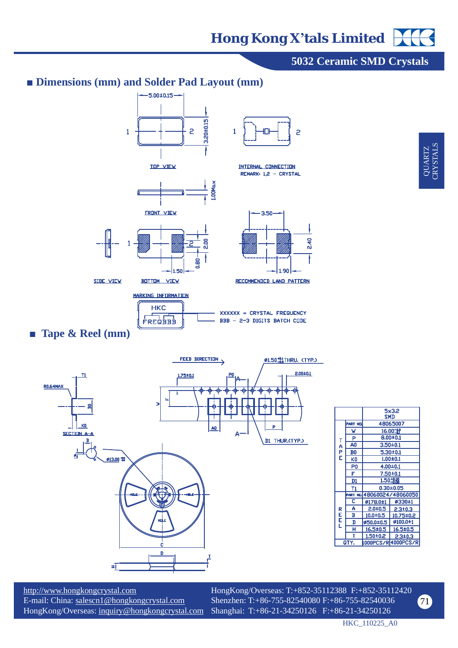

<http://www.hongkongcrystal.com> E-mail: China: [salescn1@hongkongcrystal.com](mailto:salescn1@hongkongcrystal.com) HongKong/Overseas: [inquiry@hongkongcrystal.com](mailto:inquiry@hongkongcrystal.com)

HongKong/Overseas: T:+852-35112388 F:+852-35112420 Shenzhen: T:+86-755-82540080 F:+86-755-82540036 Shanghai: T:+86-21-34250126 F:+86-21-34250126

HKC\_110225\_A0

71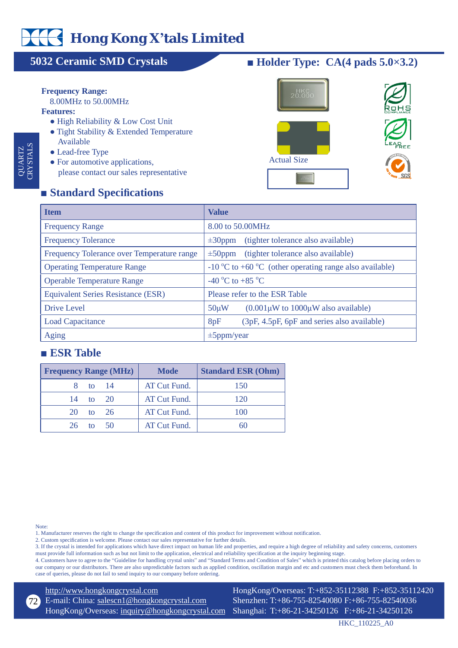# **Hong Kong X'tals Limited**

# **5032 Ceramic SMD Crystals**

#### **Frequency Range:**

8.00MHz to 50.00MHz

#### **Features:**

QUA<br>Initio RTZ CRYSTALS

- High Reliability & Low Cost Unit
- Tight Stability & Extended Temperature Available
- Lead-free Type
- For automotive applications, please contact our sales representative

# **■ Holder Type: CA(4 pads 5.0×3.2)**



## **■ Standard Specications**

| <b>Item</b>                                | <b>Value</b>                                                                              |  |
|--------------------------------------------|-------------------------------------------------------------------------------------------|--|
| <b>Frequency Range</b>                     | 8.00 to 50.00MHz                                                                          |  |
| <b>Frequency Tolerance</b>                 | (tighter tolerance also available)<br>$\pm 30$ ppm                                        |  |
| Frequency Tolerance over Temperature range | (tighter tolerance also available)<br>$\pm 50$ ppm                                        |  |
| <b>Operating Temperature Range</b>         | $-10\,^{\circ}\text{C}$ to $+60\,^{\circ}\text{C}$ (other operating range also available) |  |
| <b>Operable Temperature Range</b>          | -40 °C to +85 °C                                                                          |  |
| <b>Equivalent Series Resistance (ESR)</b>  | Please refer to the ESR Table                                                             |  |
| Drive Level                                | $(0.001\,\mu\text{W}$ to $1000\,\mu\text{W}$ also available)<br>$50 \mu W$                |  |
| <b>Load Capacitance</b>                    | 8pF<br>(3pF, 4.5pF, 6pF and series also available)                                        |  |
| <b>Aging</b>                               | $\pm 5$ ppm/year                                                                          |  |

### **■ ESR Table**

| <b>Frequency Range (MHz)</b> | <b>Mode</b>  | <b>Standard ESR (Ohm)</b> |
|------------------------------|--------------|---------------------------|
| 8 to 14                      | AT Cut Fund. | 150                       |
| 14 to 20                     | AT Cut Fund. | 120                       |
| 20 to 26                     | AT Cut Fund. | 100                       |
| 26<br>to $50$                | AT Cut Fund. | 60                        |

Note:

1. Manufacturer reserves the right to change the specification and content of this product for improvement without notification.

2. Custom specification is welcome. Please contact our sales representative for further details.

3. If the crystal is intended for applications which have direct impact on human life and properties, and require a high degree of reliability and safety concerns, customers must provide full information such as but not limit to the application, electrical and reliability specification at the inquiry beginning stage.

4. Customers have to agree to the "Guideline for handling crystal units" and "Standard Terms and Condition of Sales" which is printed this catalog before placing orders to our company or our distributors. There are also unpredictable factors such as applied condition, oscillation margin and etc and customers must check them beforehand. In case of queries, please do not fail to send inquiry to our company before ordering.

<http://www.hongkongcrystal.com>

E-mail: China: [salescn1@hongkongcrystal.com](mailto:salescn1@hongkongcrystal.com) HongKong/Overseas: [inquiry@hongkongcrystal.com](mailto:inquiry@hongkongcrystal.com) 72

HongKong/Overseas: T:+852-35112388 F:+852-35112420 Shenzhen: T:+86-755-82540080 F:+86-755-82540036 Shanghai: T:+86-21-34250126 F:+86-21-34250126

HKC\_110225\_A0